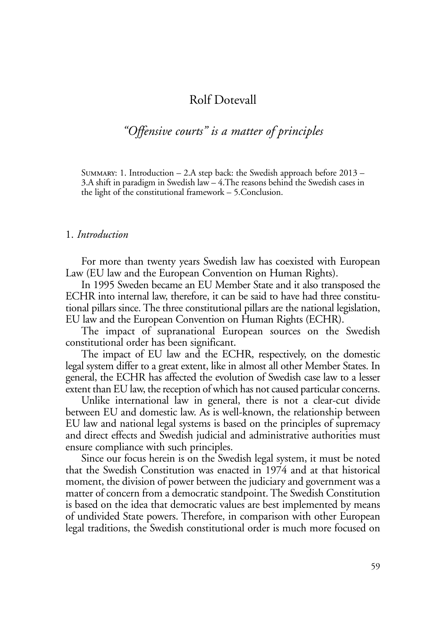# Rolf Dotevall

# *"Offensive courts" is a matter of principles*

SUMMARY: 1. Introduction  $-$  2.A step back: the Swedish approach before 2013 – 3.A shift in paradigm in Swedish law – 4.The reasons behind the Swedish cases in the light of the constitutional framework – 5.Conclusion.

#### 1. *Introduction*

For more than twenty years Swedish law has coexisted with European Law (EU law and the European Convention on Human Rights).

In 1995 Sweden became an EU Member State and it also transposed the ECHR into internal law, therefore, it can be said to have had three constitutional pillars since. The three constitutional pillars are the national legislation, EU law and the European Convention on Human Rights (ECHR).

The impact of supranational European sources on the Swedish constitutional order has been significant.

The impact of EU law and the ECHR, respectively, on the domestic legal system differ to a great extent, like in almost all other Member States. In general, the ECHR has affected the evolution of Swedish case law to a lesser extent than EU law, the reception of which has not caused particular concerns.

Unlike international law in general, there is not a clear-cut divide between EU and domestic law. As is well-known, the relationship between EU law and national legal systems is based on the principles of supremacy and direct effects and Swedish judicial and administrative authorities must ensure compliance with such principles.

Since our focus herein is on the Swedish legal system, it must be noted that the Swedish Constitution was enacted in 1974 and at that historical moment, the division of power between the judiciary and government was a matter of concern from a democratic standpoint. The Swedish Constitution is based on the idea that democratic values are best implemented by means of undivided State powers. Therefore, in comparison with other European legal traditions, the Swedish constitutional order is much more focused on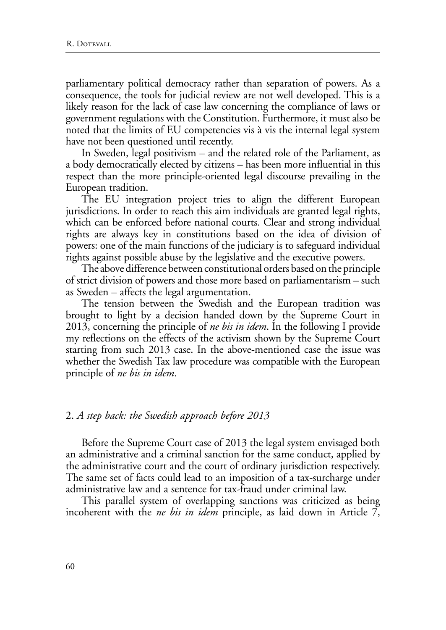parliamentary political democracy rather than separation of powers. As a consequence, the tools for judicial review are not well developed. This is a likely reason for the lack of case law concerning the compliance of laws or government regulations with the Constitution. Furthermore, it must also be noted that the limits of EU competencies vis à vis the internal legal system have not been questioned until recently.

In Sweden, legal positivism – and the related role of the Parliament, as a body democratically elected by citizens – has been more influential in this respect than the more principle-oriented legal discourse prevailing in the European tradition.

The EU integration project tries to align the different European jurisdictions. In order to reach this aim individuals are granted legal rights, which can be enforced before national courts. Clear and strong individual rights are always key in constitutions based on the idea of division of powers: one of the main functions of the judiciary is to safeguard individual rights against possible abuse by the legislative and the executive powers.

The above difference between constitutional orders based on the principle of strict division of powers and those more based on parliamentarism – such as Sweden – affects the legal argumentation.

The tension between the Swedish and the European tradition was brought to light by a decision handed down by the Supreme Court in 2013, concerning the principle of *ne bis in idem*. In the following I provide my reflections on the effects of the activism shown by the Supreme Court starting from such 2013 case. In the above-mentioned case the issue was whether the Swedish Tax law procedure was compatible with the European principle of *ne bis in idem*.

#### 2. *A step back: the Swedish approach before 2013*

Before the Supreme Court case of 2013 the legal system envisaged both an administrative and a criminal sanction for the same conduct, applied by the administrative court and the court of ordinary jurisdiction respectively. The same set of facts could lead to an imposition of a tax-surcharge under administrative law and a sentence for tax-fraud under criminal law.

This parallel system of overlapping sanctions was criticized as being incoherent with the *ne bis in idem* principle, as laid down in Article 7,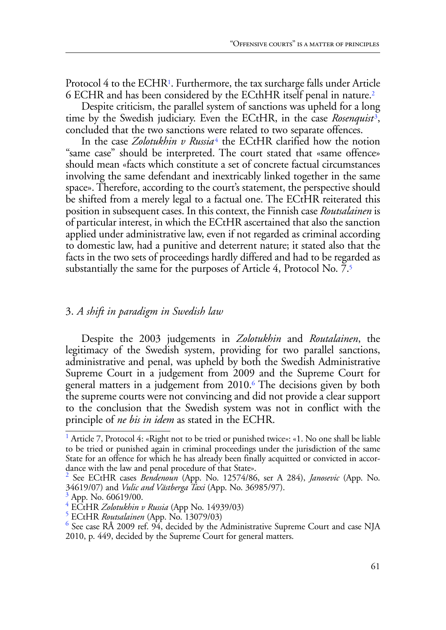Protocol 4 to the ECHR<sup>1</sup>. Furthermore, the tax surcharge falls under Article 6 ECHR and has been considered by the ECthHR itself penal in nature.2

Despite criticism, the parallel system of sanctions was upheld for a long time by the Swedish judiciary. Even the ECtHR, in the case *Rosenquist*3, concluded that the two sanctions were related to two separate offences.

In the case *Zolotukhin v Russia*<sup>4</sup> the ECtHR clarified how the notion "same case" should be interpreted. The court stated that «same offence» should mean «facts which constitute a set of concrete factual circumstances involving the same defendant and inextricably linked together in the same space». Therefore, according to the court's statement, the perspective should be shifted from a merely legal to a factual one. The ECtHR reiterated this position in subsequent cases. In this context, the Finnish case *Routsalainen* is of particular interest, in which the ECtHR ascertained that also the sanction applied under administrative law, even if not regarded as criminal according to domestic law, had a punitive and deterrent nature; it stated also that the facts in the two sets of proceedings hardly differed and had to be regarded as substantially the same for the purposes of Article 4, Protocol No. 7.5

## 3. *A shift in paradigm in Swedish law*

Despite the 2003 judgements in *Zolotukhin* and *Routalainen*, the legitimacy of the Swedish system, providing for two parallel sanctions, administrative and penal, was upheld by both the Swedish Administrative Supreme Court in a judgement from 2009 and the Supreme Court for general matters in a judgement from 2010.6 The decisions given by both the supreme courts were not convincing and did not provide a clear support to the conclusion that the Swedish system was not in conflict with the principle of *ne bis in idem* as stated in the ECHR.

<sup>&</sup>lt;sup>1</sup> Article 7, Protocol 4: «Right not to be tried or punished twice»: «1. No one shall be liable to be tried or punished again in criminal proceedings under the jurisdiction of the same State for an offence for which he has already been finally acquitted or convicted in accordance with the law and penal procedure of that State».

<sup>2</sup> See ECtHR cases *Bendenoun* (App. No. 12574/86, ser A 284), *Janosevic* (App. No. 34619/07) and *Vulic and Västberga Taxi* (App. No. 36985/97). <sup>3</sup>

 $3$  App. No. 60619/00.

<sup>&</sup>lt;sup>4</sup> ECtHR *Zolotukhin v Russia* (App No. 14939/03)<br><sup>5</sup> ECtHR *Routedainen* (App. No. 13079/03)

ECtHR *Routsalainen* (App. No. 13079/03) <sup>6</sup>

 $\frac{6}{10}$  See case RÅ 2009 ref. 94, decided by the Administrative Supreme Court and case NJA 2010, p. 449, decided by the Supreme Court for general matters.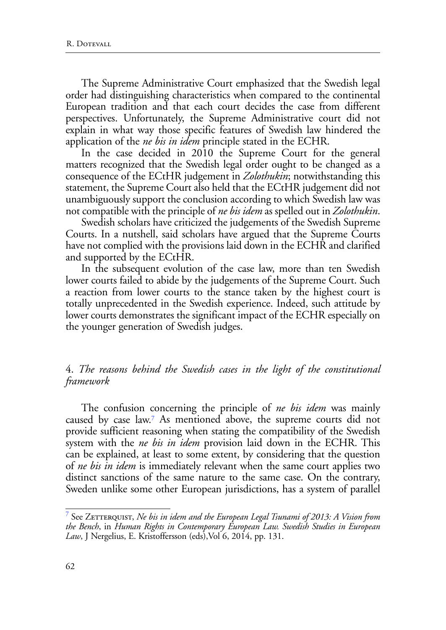The Supreme Administrative Court emphasized that the Swedish legal order had distinguishing characteristics when compared to the continental European tradition and that each court decides the case from different perspectives. Unfortunately, the Supreme Administrative court did not explain in what way those specific features of Swedish law hindered the application of the *ne bis in idem* principle stated in the ECHR.

In the case decided in 2010 the Supreme Court for the general matters recognized that the Swedish legal order ought to be changed as a consequence of the ECtHR judgement in *Zolothukin*; notwithstanding this statement, the Supreme Court also held that the ECtHR judgement did not unambiguously support the conclusion according to which Swedish law was not compatible with the principle of *ne bis idem* as spelled out in *Zolothukin*.

Swedish scholars have criticized the judgements of the Swedish Supreme Courts. In a nutshell, said scholars have argued that the Supreme Courts have not complied with the provisions laid down in the ECHR and clarified and supported by the ECtHR.

In the subsequent evolution of the case law, more than ten Swedish lower courts failed to abide by the judgements of the Supreme Court. Such a reaction from lower courts to the stance taken by the highest court is totally unprecedented in the Swedish experience. Indeed, such attitude by lower courts demonstrates the significant impact of the ECHR especially on the younger generation of Swedish judges.

### 4. *The reasons behind the Swedish cases in the light of the constitutional framework*

The confusion concerning the principle of *ne bis idem* was mainly caused by case law.7 As mentioned above, the supreme courts did not provide sufficient reasoning when stating the compatibility of the Swedish system with the *ne bis in idem* provision laid down in the ECHR. This can be explained, at least to some extent, by considering that the question of *ne bis in idem* is immediately relevant when the same court applies two distinct sanctions of the same nature to the same case. On the contrary, Sweden unlike some other European jurisdictions, has a system of parallel

 $^7$  See Z $\rm E$ TTERQUIST,  $N$ e bis in idem and the European Legal Tsunami of 2013: A Vision from *the Bench*, in *Human Rights in Contemporary European Law. Swedish Studies in European Law*, J Nergelius, E. Kristoffersson (eds),Vol 6, 2014, pp. 131.